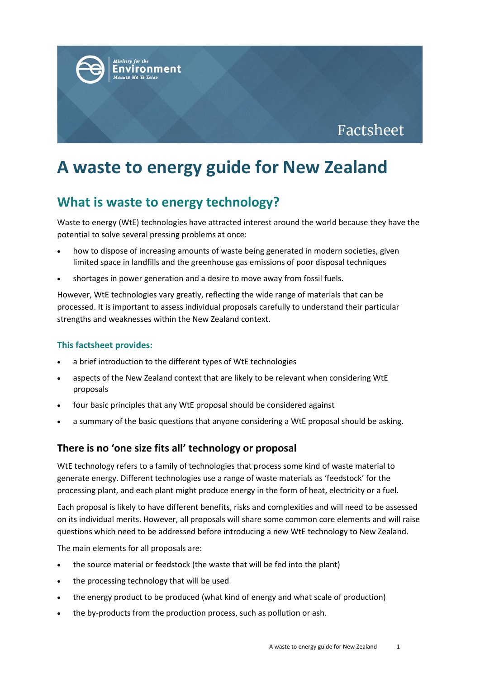

# **A waste to energy guide for New Zealand**

## **What is waste to energy technology?**

Waste to energy (WtE) technologies have attracted interest around the world because they have the potential to solve several pressing problems at once:

- how to dispose of increasing amounts of waste being generated in modern societies, given limited space in landfills and the greenhouse gas emissions of poor disposal techniques
- shortages in power generation and a desire to move away from fossil fuels.

However, WtE technologies vary greatly, reflecting the wide range of materials that can be processed. It is important to assess individual proposals carefully to understand their particular strengths and weaknesses within the New Zealand context.

#### **This factsheet provides:**

- a brief introduction to the different types of WtE technologies
- aspects of the New Zealand context that are likely to be relevant when considering WtE proposals
- four basic principles that any WtE proposal should be considered against
- a summary of the basic questions that anyone considering a WtE proposal should be asking.

### **There is no 'one size fits all' technology or proposal**

WtE technology refers to a family of technologies that process some kind of waste material to generate energy. Different technologies use a range of waste materials as 'feedstock' for the processing plant, and each plant might produce energy in the form of heat, electricity or a fuel.

Each proposal is likely to have different benefits, risks and complexities and will need to be assessed on its individual merits. However, all proposals will share some common core elements and will raise questions which need to be addressed before introducing a new WtE technology to New Zealand.

The main elements for all proposals are:

- the source material or feedstock (the waste that will be fed into the plant)
- the processing technology that will be used
- the energy product to be produced (what kind of energy and what scale of production)
- the by-products from the production process, such as pollution or ash.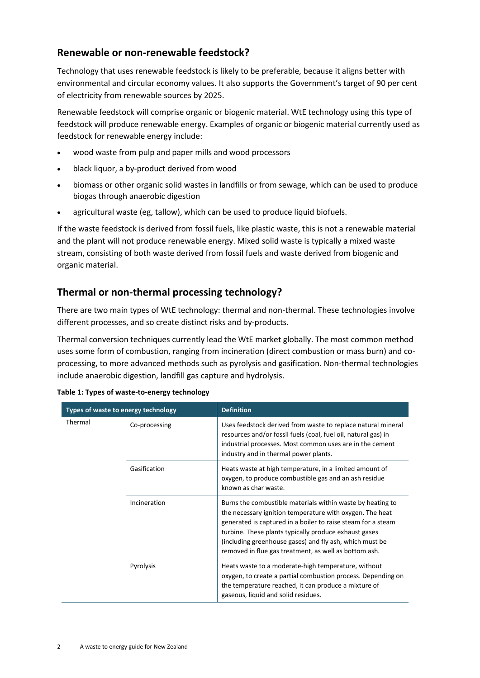## **Renewable or non-renewable feedstock?**

Technology that uses renewable feedstock is likely to be preferable, because it aligns better with environmental and circular economy values. It also supports the Government's target of 90 per cent of electricity from renewable sources by 2025.

Renewable feedstock will comprise organic or biogenic material. WtE technology using this type of feedstock will produce renewable energy. Examples of organic or biogenic material currently used as feedstock for renewable energy include:

- wood waste from pulp and paper mills and wood processors
- black liquor, a by-product derived from wood
- biomass or other organic solid wastes in landfills or from sewage, which can be used to produce biogas through anaerobic digestion
- agricultural waste (eg, tallow), which can be used to produce liquid biofuels.

If the waste feedstock is derived from fossil fuels, like plastic waste, this is not a renewable material and the plant will not produce renewable energy. Mixed solid waste is typically a mixed waste stream, consisting of both waste derived from fossil fuels and waste derived from biogenic and organic material.

## **Thermal or non-thermal processing technology?**

There are two main types of WtE technology: thermal and non-thermal. These technologies involve different processes, and so create distinct risks and by-products.

Thermal conversion techniques currently lead the WtE market globally. The most common method uses some form of combustion, ranging from incineration (direct combustion or mass burn) and coprocessing, to more advanced methods such as pyrolysis and gasification. Non-thermal technologies include anaerobic digestion, landfill gas capture and hydrolysis.

| Types of waste to energy technology |               | <b>Definition</b>                                                                                                                                                                                                                                                                                                                                                   |
|-------------------------------------|---------------|---------------------------------------------------------------------------------------------------------------------------------------------------------------------------------------------------------------------------------------------------------------------------------------------------------------------------------------------------------------------|
| Thermal                             | Co-processing | Uses feedstock derived from waste to replace natural mineral<br>resources and/or fossil fuels (coal, fuel oil, natural gas) in<br>industrial processes. Most common uses are in the cement<br>industry and in thermal power plants.                                                                                                                                 |
|                                     | Gasification  | Heats waste at high temperature, in a limited amount of<br>oxygen, to produce combustible gas and an ash residue<br>known as char waste.                                                                                                                                                                                                                            |
|                                     | Incineration  | Burns the combustible materials within waste by heating to<br>the necessary ignition temperature with oxygen. The heat<br>generated is captured in a boiler to raise steam for a steam<br>turbine. These plants typically produce exhaust gases<br>(including greenhouse gases) and fly ash, which must be<br>removed in flue gas treatment, as well as bottom ash. |
|                                     | Pyrolysis     | Heats waste to a moderate-high temperature, without<br>oxygen, to create a partial combustion process. Depending on<br>the temperature reached, it can produce a mixture of<br>gaseous, liquid and solid residues.                                                                                                                                                  |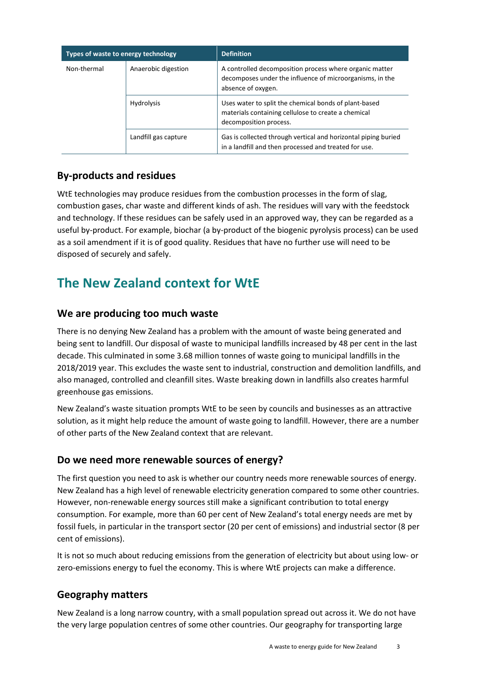| Types of waste to energy technology |                      | <b>Definition</b>                                                                                                                         |
|-------------------------------------|----------------------|-------------------------------------------------------------------------------------------------------------------------------------------|
| Non-thermal                         | Anaerobic digestion  | A controlled decomposition process where organic matter<br>decomposes under the influence of microorganisms, in the<br>absence of oxygen. |
|                                     | <b>Hydrolysis</b>    | Uses water to split the chemical bonds of plant-based<br>materials containing cellulose to create a chemical<br>decomposition process.    |
|                                     | Landfill gas capture | Gas is collected through vertical and horizontal piping buried<br>in a landfill and then processed and treated for use.                   |

## **By-products and residues**

WtE technologies may produce residues from the combustion processes in the form of slag, combustion gases, char waste and different kinds of ash. The residues will vary with the feedstock and technology. If these residues can be safely used in an approved way, they can be regarded as a useful by-product. For example, biochar (a by-product of the biogenic pyrolysis process) can be used as a soil amendment if it is of good quality. Residues that have no further use will need to be disposed of securely and safely.

## **The New Zealand context for WtE**

## **We are producing too much waste**

There is no denying New Zealand has a problem with the amount of waste being generated and being sent to landfill. Our disposal of waste to municipal landfills increased by 48 per cent in the last decade. This culminated in some 3.68 million tonnes of waste going to municipal landfills in the 2018/2019 year. This excludes the waste sent to industrial, construction and demolition landfills, and also managed, controlled and cleanfill sites. Waste breaking down in landfills also creates harmful greenhouse gas emissions.

New Zealand's waste situation prompts WtE to be seen by councils and businesses as an attractive solution, as it might help reduce the amount of waste going to landfill. However, there are a number of other parts of the New Zealand context that are relevant.

### **Do we need more renewable sources of energy?**

The first question you need to ask is whether our country needs more renewable sources of energy. New Zealand has a high level of renewable electricity generation compared to some other countries. However, non-renewable energy sources still make a significant contribution to total energy consumption. For example, more than 60 per cent of New Zealand's total energy needs are met by fossil fuels, in particular in the transport sector (20 per cent of emissions) and industrial sector (8 per cent of emissions).

It is not so much about reducing emissions from the generation of electricity but about using low- or zero-emissions energy to fuel the economy. This is where WtE projects can make a difference.

### **Geography matters**

New Zealand is a long narrow country, with a small population spread out across it. We do not have the very large population centres of some other countries. Our geography for transporting large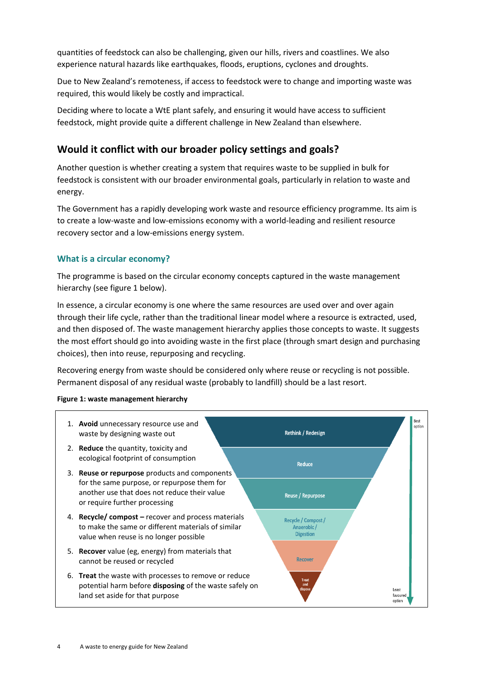quantities of feedstock can also be challenging, given our hills, rivers and coastlines. We also experience natural hazards like earthquakes, floods, eruptions, cyclones and droughts.

Due to New Zealand's remoteness, if access to feedstock were to change and importing waste was required, this would likely be costly and impractical.

Deciding where to locate a WtE plant safely, and ensuring it would have access to sufficient feedstock, might provide quite a different challenge in New Zealand than elsewhere.

## **Would it conflict with our broader policy settings and goals?**

Another question is whether creating a system that requires waste to be supplied in bulk for feedstock is consistent with our broader environmental goals, particularly in relation to waste and energy.

The Government has a rapidly developing work waste and resource efficiency programme. Its aim is to create a low-waste and low-emissions economy with a world-leading and resilient resource recovery sector and a low-emissions energy system.

#### **What is a circular economy?**

The programme is based on the circular economy concepts captured in the waste management hierarchy (see figure 1 below).

In essence, a circular economy is one where the same resources are used over and over again through their life cycle, rather than the traditional linear model where a resource is extracted, used, and then disposed of. The waste management hierarchy applies those concepts to waste. It suggests the most effort should go into avoiding waste in the first place (through smart design and purchasing choices), then into reuse, repurposing and recycling.

Recovering energy from waste should be considered only where reuse or recycling is not possible. Permanent disposal of any residual waste (probably to landfill) should be a last resort.

#### **Figure 1: waste management hierarchy**

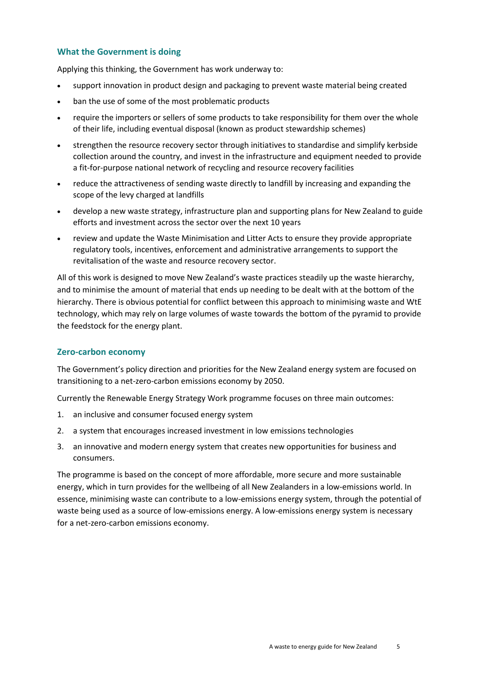#### **What the Government is doing**

Applying this thinking, the Government has work underway to:

- support innovation in product design and packaging to prevent waste material being created
- ban the use of some of the most problematic products
- require the importers or sellers of some products to take responsibility for them over the whole of their life, including eventual disposal (known as product stewardship schemes)
- strengthen the resource recovery sector through initiatives to standardise and simplify kerbside collection around the country, and invest in the infrastructure and equipment needed to provide a fit-for-purpose national network of recycling and resource recovery facilities
- reduce the attractiveness of sending waste directly to landfill by increasing and expanding the scope of the levy charged at landfills
- develop a new waste strategy, infrastructure plan and supporting plans for New Zealand to guide efforts and investment across the sector over the next 10 years
- review and update the Waste Minimisation and Litter Acts to ensure they provide appropriate regulatory tools, incentives, enforcement and administrative arrangements to support the revitalisation of the waste and resource recovery sector.

All of this work is designed to move New Zealand's waste practices steadily up the waste hierarchy, and to minimise the amount of material that ends up needing to be dealt with at the bottom of the hierarchy. There is obvious potential for conflict between this approach to minimising waste and WtE technology, which may rely on large volumes of waste towards the bottom of the pyramid to provide the feedstock for the energy plant.

#### **Zero-carbon economy**

The Government's policy direction and priorities for the New Zealand energy system are focused on transitioning to a net-zero-carbon emissions economy by 2050.

Currently the Renewable Energy Strategy Work programme focuses on three main outcomes:

- 1. an inclusive and consumer focused energy system
- 2. a system that encourages increased investment in low emissions technologies
- 3. an innovative and modern energy system that creates new opportunities for business and consumers.

The programme is based on the concept of more affordable, more secure and more sustainable energy, which in turn provides for the wellbeing of all New Zealanders in a low-emissions world. In essence, minimising waste can contribute to a low-emissions energy system, through the potential of waste being used as a source of low-emissions energy. A low-emissions energy system is necessary for a net-zero-carbon emissions economy.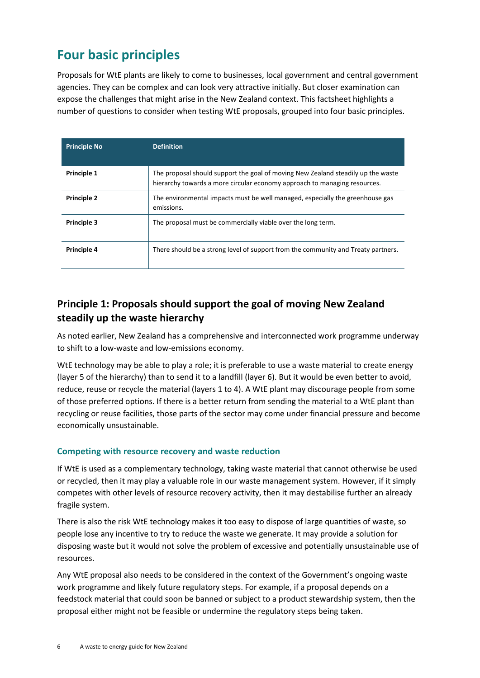## **Four basic principles**

Proposals for WtE plants are likely to come to businesses, local government and central government agencies. They can be complex and can look very attractive initially. But closer examination can expose the challenges that might arise in the New Zealand context. This factsheet highlights a number of questions to consider when testing WtE proposals, grouped into four basic principles.

| <b>Principle No</b> | <b>Definition</b>                                                                                                                                             |
|---------------------|---------------------------------------------------------------------------------------------------------------------------------------------------------------|
| Principle 1         | The proposal should support the goal of moving New Zealand steadily up the waste<br>hierarchy towards a more circular economy approach to managing resources. |
| <b>Principle 2</b>  | The environmental impacts must be well managed, especially the greenhouse gas<br>emissions.                                                                   |
| <b>Principle 3</b>  | The proposal must be commercially viable over the long term.                                                                                                  |
| Principle 4         | There should be a strong level of support from the community and Treaty partners.                                                                             |

## **Principle 1: Proposals should support the goal of moving New Zealand steadily up the waste hierarchy**

As noted earlier, New Zealand has a comprehensive and interconnected work programme underway to shift to a low-waste and low-emissions economy.

WtE technology may be able to play a role; it is preferable to use a waste material to create energy (layer 5 of the hierarchy) than to send it to a landfill (layer 6). But it would be even better to avoid, reduce, reuse or recycle the material (layers 1 to 4). A WtE plant may discourage people from some of those preferred options. If there is a better return from sending the material to a WtE plant than recycling or reuse facilities, those parts of the sector may come under financial pressure and become economically unsustainable.

#### **Competing with resource recovery and waste reduction**

If WtE is used as a complementary technology, taking waste material that cannot otherwise be used or recycled, then it may play a valuable role in our waste management system. However, if it simply competes with other levels of resource recovery activity, then it may destabilise further an already fragile system.

There is also the risk WtE technology makes it too easy to dispose of large quantities of waste, so people lose any incentive to try to reduce the waste we generate. It may provide a solution for disposing waste but it would not solve the problem of excessive and potentially unsustainable use of resources.

Any WtE proposal also needs to be considered in the context of the Government's ongoing waste work programme and likely future regulatory steps. For example, if a proposal depends on a feedstock material that could soon be banned or subject to a product stewardship system, then the proposal either might not be feasible or undermine the regulatory steps being taken.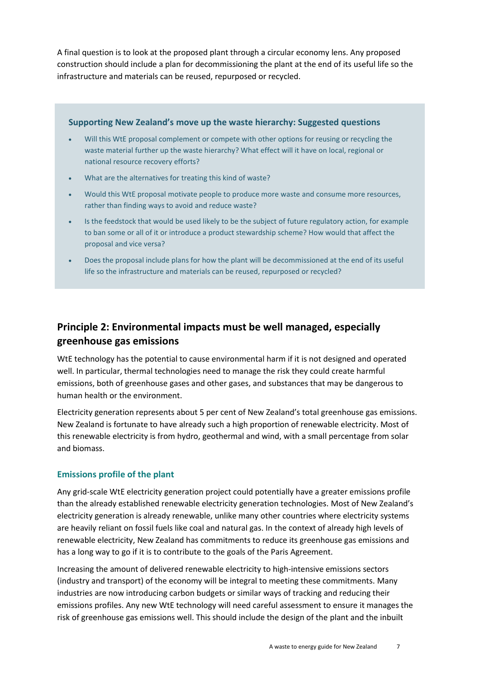A final question is to look at the proposed plant through a circular economy lens. Any proposed construction should include a plan for decommissioning the plant at the end of its useful life so the infrastructure and materials can be reused, repurposed or recycled.

#### **Supporting New Zealand's move up the waste hierarchy: Suggested questions**

- Will this WtE proposal complement or compete with other options for reusing or recycling the waste material further up the waste hierarchy? What effect will it have on local, regional or national resource recovery efforts?
- What are the alternatives for treating this kind of waste?
- Would this WtE proposal motivate people to produce more waste and consume more resources, rather than finding ways to avoid and reduce waste?
- Is the feedstock that would be used likely to be the subject of future regulatory action, for example to ban some or all of it or introduce a product stewardship scheme? How would that affect the proposal and vice versa?
- Does the proposal include plans for how the plant will be decommissioned at the end of its useful life so the infrastructure and materials can be reused, repurposed or recycled?

## **Principle 2: Environmental impacts must be well managed, especially greenhouse gas emissions**

WtE technology has the potential to cause environmental harm if it is not designed and operated well. In particular, thermal technologies need to manage the risk they could create harmful emissions, both of greenhouse gases and other gases, and substances that may be dangerous to human health or the environment.

Electricity generation represents about 5 per cent of New Zealand's total greenhouse gas emissions. New Zealand is fortunate to have already such a high proportion of renewable electricity. Most of this renewable electricity is from hydro, geothermal and wind, with a small percentage from solar and biomass.

#### **Emissions profile of the plant**

Any grid-scale WtE electricity generation project could potentially have a greater emissions profile than the already established renewable electricity generation technologies. Most of New Zealand's electricity generation is already renewable, unlike many other countries where electricity systems are heavily reliant on fossil fuels like coal and natural gas. In the context of already high levels of renewable electricity, New Zealand has commitments to reduce its greenhouse gas emissions and has a long way to go if it is to contribute to the goals of the Paris Agreement.

Increasing the amount of delivered renewable electricity to high-intensive emissions sectors (industry and transport) of the economy will be integral to meeting these commitments. Many industries are now introducing carbon budgets or similar ways of tracking and reducing their emissions profiles. Any new WtE technology will need careful assessment to ensure it manages the risk of greenhouse gas emissions well. This should include the design of the plant and the inbuilt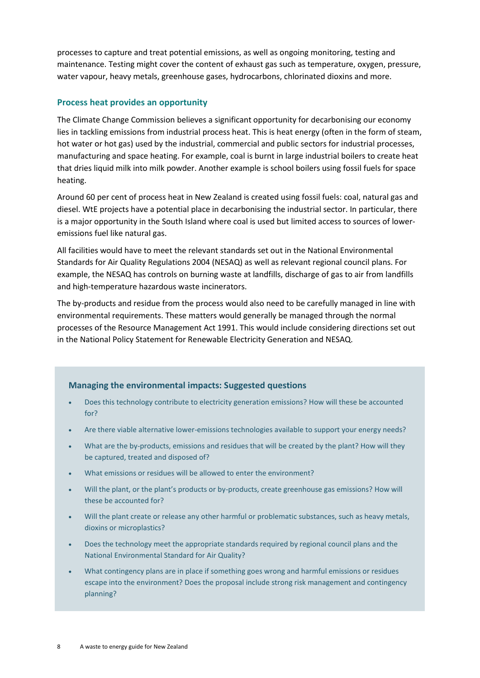processes to capture and treat potential emissions, as well as ongoing monitoring, testing and maintenance. Testing might cover the content of exhaust gas such as temperature, oxygen, pressure, water vapour, heavy metals, greenhouse gases, hydrocarbons, chlorinated dioxins and more.

#### **Process heat provides an opportunity**

The Climate Change Commission believes a significant opportunity for decarbonising our economy lies in tackling emissions from industrial process heat. This is heat energy (often in the form of steam, hot water or hot gas) used by the industrial, commercial and public sectors for industrial processes, manufacturing and space heating. For example, coal is burnt in large industrial boilers to create heat that dries liquid milk into milk powder. Another example is school boilers using fossil fuels for space heating.

Around 60 per cent of process heat in New Zealand is created using fossil fuels: coal, natural gas and diesel. WtE projects have a potential place in decarbonising the industrial sector. In particular, there is a major opportunity in the South Island where coal is used but limited access to sources of loweremissions fuel like natural gas.

All facilities would have to meet the relevant standards set out in the National Environmental Standards for Air Quality Regulations 2004 (NESAQ) as well as relevant regional council plans. For example, the NESAQ has controls on burning waste at landfills, discharge of gas to air from landfills and high-temperature hazardous waste incinerators.

The by-products and residue from the process would also need to be carefully managed in line with environmental requirements. These matters would generally be managed through the normal processes of the Resource Management Act 1991. This would include considering directions set out in the National Policy Statement for Renewable Electricity Generation and NESAQ.

#### **Managing the environmental impacts: Suggested questions**

- Does this technology contribute to electricity generation emissions? How will these be accounted for?
- Are there viable alternative lower-emissions technologies available to support your energy needs?
- What are the by-products, emissions and residues that will be created by the plant? How will they be captured, treated and disposed of?
- What emissions or residues will be allowed to enter the environment?
- Will the plant, or the plant's products or by-products, create greenhouse gas emissions? How will these be accounted for?
- Will the plant create or release any other harmful or problematic substances, such as heavy metals, dioxins or microplastics?
- Does the technology meet the appropriate standards required by regional council plans and the National Environmental Standard for Air Quality?
- What contingency plans are in place if something goes wrong and harmful emissions or residues escape into the environment? Does the proposal include strong risk management and contingency planning?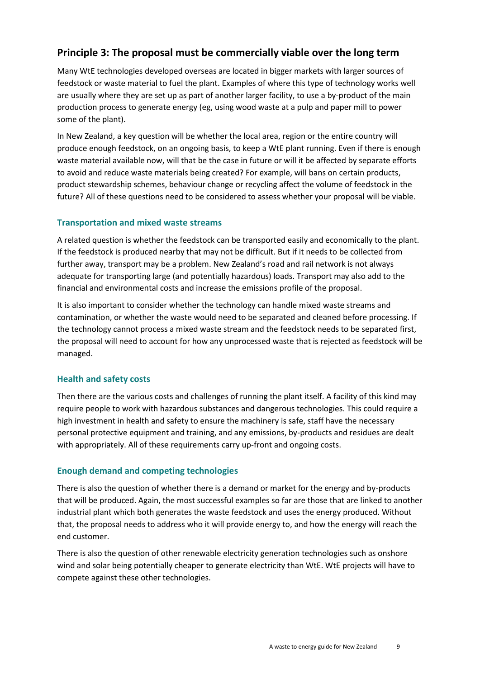## **Principle 3: The proposal must be commercially viable over the long term**

Many WtE technologies developed overseas are located in bigger markets with larger sources of feedstock or waste material to fuel the plant. Examples of where this type of technology works well are usually where they are set up as part of another larger facility, to use a by-product of the main production process to generate energy (eg, using wood waste at a pulp and paper mill to power some of the plant).

In New Zealand, a key question will be whether the local area, region or the entire country will produce enough feedstock, on an ongoing basis, to keep a WtE plant running. Even if there is enough waste material available now, will that be the case in future or will it be affected by separate efforts to avoid and reduce waste materials being created? For example, will bans on certain products, product stewardship schemes, behaviour change or recycling affect the volume of feedstock in the future? All of these questions need to be considered to assess whether your proposal will be viable.

#### **Transportation and mixed waste streams**

A related question is whether the feedstock can be transported easily and economically to the plant. If the feedstock is produced nearby that may not be difficult. But if it needs to be collected from further away, transport may be a problem. New Zealand's road and rail network is not always adequate for transporting large (and potentially hazardous) loads. Transport may also add to the financial and environmental costs and increase the emissions profile of the proposal.

It is also important to consider whether the technology can handle mixed waste streams and contamination, or whether the waste would need to be separated and cleaned before processing. If the technology cannot process a mixed waste stream and the feedstock needs to be separated first, the proposal will need to account for how any unprocessed waste that is rejected as feedstock will be managed.

#### **Health and safety costs**

Then there are the various costs and challenges of running the plant itself. A facility of this kind may require people to work with hazardous substances and dangerous technologies. This could require a high investment in health and safety to ensure the machinery is safe, staff have the necessary personal protective equipment and training, and any emissions, by-products and residues are dealt with appropriately. All of these requirements carry up-front and ongoing costs.

#### **Enough demand and competing technologies**

There is also the question of whether there is a demand or market for the energy and by-products that will be produced. Again, the most successful examples so far are those that are linked to another industrial plant which both generates the waste feedstock and uses the energy produced. Without that, the proposal needs to address who it will provide energy to, and how the energy will reach the end customer.

There is also the question of other renewable electricity generation technologies such as onshore wind and solar being potentially cheaper to generate electricity than WtE. WtE projects will have to compete against these other technologies.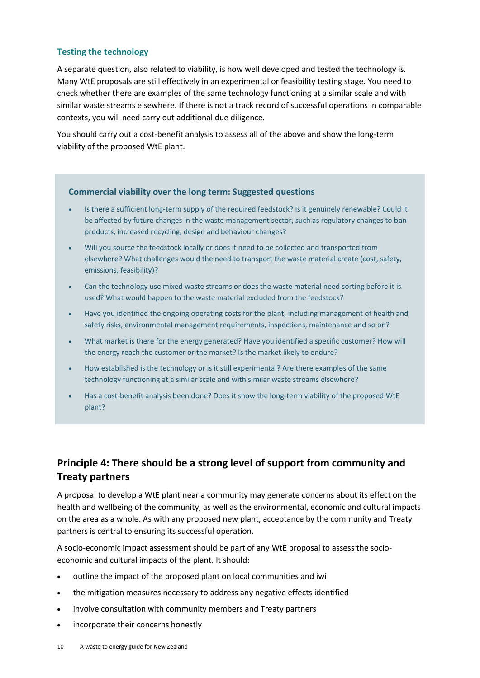#### **Testing the technology**

A separate question, also related to viability, is how well developed and tested the technology is. Many WtE proposals are still effectively in an experimental or feasibility testing stage. You need to check whether there are examples of the same technology functioning at a similar scale and with similar waste streams elsewhere. If there is not a track record of successful operations in comparable contexts, you will need carry out additional due diligence.

You should carry out a cost-benefit analysis to assess all of the above and show the long-term viability of the proposed WtE plant.

#### **Commercial viability over the long term: Suggested questions**

- Is there a sufficient long-term supply of the required feedstock? Is it genuinely renewable? Could it be affected by future changes in the waste management sector, such as regulatory changes to ban products, increased recycling, design and behaviour changes?
- Will you source the feedstock locally or does it need to be collected and transported from elsewhere? What challenges would the need to transport the waste material create (cost, safety, emissions, feasibility)?
- Can the technology use mixed waste streams or does the waste material need sorting before it is used? What would happen to the waste material excluded from the feedstock?
- Have you identified the ongoing operating costs for the plant, including management of health and safety risks, environmental management requirements, inspections, maintenance and so on?
- What market is there for the energy generated? Have you identified a specific customer? How will the energy reach the customer or the market? Is the market likely to endure?
- How established is the technology or is it still experimental? Are there examples of the same technology functioning at a similar scale and with similar waste streams elsewhere?
- Has a cost-benefit analysis been done? Does it show the long-term viability of the proposed WtE plant?

## **Principle 4: There should be a strong level of support from community and Treaty partners**

A proposal to develop a WtE plant near a community may generate concerns about its effect on the health and wellbeing of the community, as well as the environmental, economic and cultural impacts on the area as a whole. As with any proposed new plant, acceptance by the community and Treaty partners is central to ensuring its successful operation.

A socio-economic impact assessment should be part of any WtE proposal to assess the socioeconomic and cultural impacts of the plant. It should:

- outline the impact of the proposed plant on local communities and iwi
- the mitigation measures necessary to address any negative effects identified
- involve consultation with community members and Treaty partners
- incorporate their concerns honestly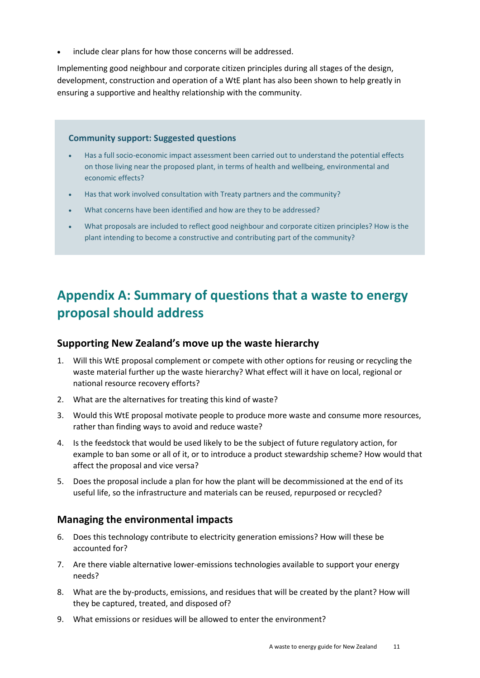include clear plans for how those concerns will be addressed.

Implementing good neighbour and corporate citizen principles during all stages of the design, development, construction and operation of a WtE plant has also been shown to help greatly in ensuring a supportive and healthy relationship with the community.

#### **Community support: Suggested questions**

- Has a full socio-economic impact assessment been carried out to understand the potential effects on those living near the proposed plant, in terms of health and wellbeing, environmental and economic effects?
- Has that work involved consultation with Treaty partners and the community?
- What concerns have been identified and how are they to be addressed?
- What proposals are included to reflect good neighbour and corporate citizen principles? How is the plant intending to become a constructive and contributing part of the community?

## **Appendix A: Summary of questions that a waste to energy proposal should address**

#### **Supporting New Zealand's move up the waste hierarchy**

- 1. Will this WtE proposal complement or compete with other options for reusing or recycling the waste material further up the waste hierarchy? What effect will it have on local, regional or national resource recovery efforts?
- 2. What are the alternatives for treating this kind of waste?
- 3. Would this WtE proposal motivate people to produce more waste and consume more resources, rather than finding ways to avoid and reduce waste?
- 4. Is the feedstock that would be used likely to be the subject of future regulatory action, for example to ban some or all of it, or to introduce a product stewardship scheme? How would that affect the proposal and vice versa?
- 5. Does the proposal include a plan for how the plant will be decommissioned at the end of its useful life, so the infrastructure and materials can be reused, repurposed or recycled?

#### **Managing the environmental impacts**

- 6. Does this technology contribute to electricity generation emissions? How will these be accounted for?
- 7. Are there viable alternative lower-emissions technologies available to support your energy needs?
- 8. What are the by-products, emissions, and residues that will be created by the plant? How will they be captured, treated, and disposed of?
- 9. What emissions or residues will be allowed to enter the environment?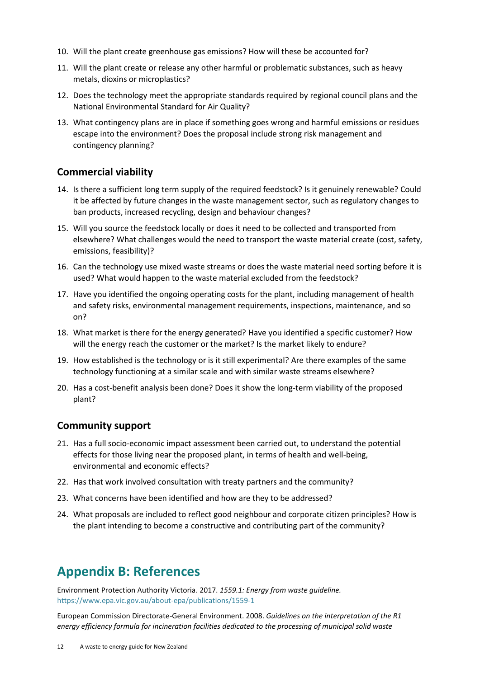- 10. Will the plant create greenhouse gas emissions? How will these be accounted for?
- 11. Will the plant create or release any other harmful or problematic substances, such as heavy metals, dioxins or microplastics?
- 12. Does the technology meet the appropriate standards required by regional council plans and the National Environmental Standard for Air Quality?
- 13. What contingency plans are in place if something goes wrong and harmful emissions or residues escape into the environment? Does the proposal include strong risk management and contingency planning?

#### **Commercial viability**

- 14. Is there a sufficient long term supply of the required feedstock? Is it genuinely renewable? Could it be affected by future changes in the waste management sector, such as regulatory changes to ban products, increased recycling, design and behaviour changes?
- 15. Will you source the feedstock locally or does it need to be collected and transported from elsewhere? What challenges would the need to transport the waste material create (cost, safety, emissions, feasibility)?
- 16. Can the technology use mixed waste streams or does the waste material need sorting before it is used? What would happen to the waste material excluded from the feedstock?
- 17. Have you identified the ongoing operating costs for the plant, including management of health and safety risks, environmental management requirements, inspections, maintenance, and so on?
- 18. What market is there for the energy generated? Have you identified a specific customer? How will the energy reach the customer or the market? Is the market likely to endure?
- 19. How established is the technology or is it still experimental? Are there examples of the same technology functioning at a similar scale and with similar waste streams elsewhere?
- 20. Has a cost-benefit analysis been done? Does it show the long-term viability of the proposed plant?

#### **Community support**

- 21. Has a full socio-economic impact assessment been carried out, to understand the potential effects for those living near the proposed plant, in terms of health and well-being, environmental and economic effects?
- 22. Has that work involved consultation with treaty partners and the community?
- 23. What concerns have been identified and how are they to be addressed?
- 24. What proposals are included to reflect good neighbour and corporate citizen principles? How is the plant intending to become a constructive and contributing part of the community?

## **Appendix B: References**

Environment Protection Authority Victoria. 2017. *1559.1: Energy from waste guideline.* <https://www.epa.vic.gov.au/about-epa/publications/1559-1>

European Commission Directorate-General Environment. 2008. *Guidelines on the interpretation of the R1 energy efficiency formula for incineration facilities dedicated to the processing of municipal solid waste*